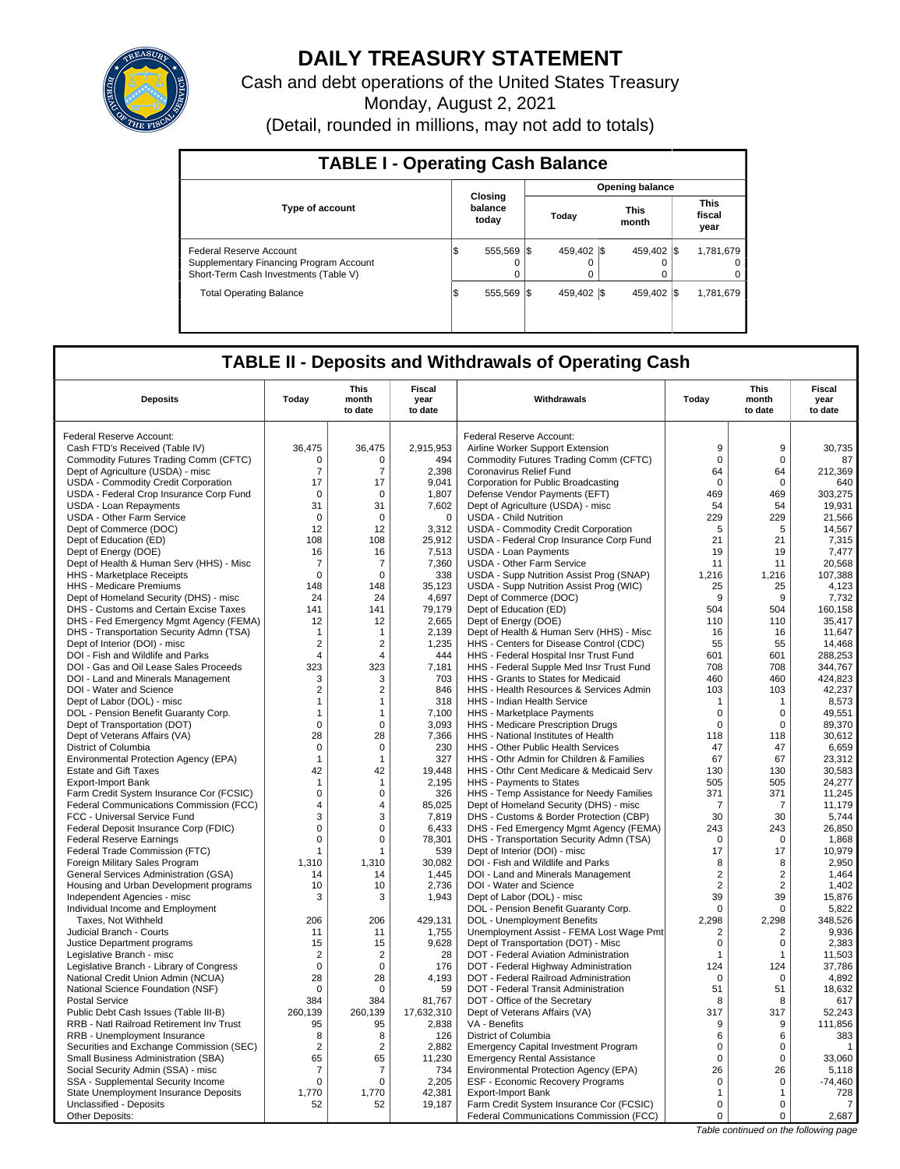

# **DAILY TREASURY STATEMENT**

Cash and debt operations of the United States Treasury

Monday, August 2, 2021

(Detail, rounded in millions, may not add to totals)

| <b>TABLE I - Operating Cash Balance</b>                                                                     |                             |               |                  |                        |                      |  |                               |  |  |  |  |  |
|-------------------------------------------------------------------------------------------------------------|-----------------------------|---------------|------------------|------------------------|----------------------|--|-------------------------------|--|--|--|--|--|
|                                                                                                             |                             |               |                  | <b>Opening balance</b> |                      |  |                               |  |  |  |  |  |
| <b>Type of account</b>                                                                                      | Closing<br>balance<br>today |               | Today            |                        | <b>This</b><br>month |  | <b>This</b><br>fiscal<br>year |  |  |  |  |  |
| Federal Reserve Account<br>Supplementary Financing Program Account<br>Short-Term Cash Investments (Table V) | 555.569 \\$<br>S            | 0<br>$\Omega$ | 459.402 \\$<br>0 |                        | 459.402 \\$          |  | 1,781,679<br>0<br>0           |  |  |  |  |  |
| <b>Total Operating Balance</b>                                                                              | 555.569 \\$<br>1\$          |               | 459.402 \\ \$    |                        | 459.402 \\$          |  | 1,781,679                     |  |  |  |  |  |

## **TABLE II - Deposits and Withdrawals of Operating Cash**

| <b>Deposits</b>                                                       | Today          | This<br>month<br>to date | Fiscal<br>year<br>to date | Withdrawals                                                                  | Todav               | This<br>month<br>to date   | Fiscal<br>year<br>to date |
|-----------------------------------------------------------------------|----------------|--------------------------|---------------------------|------------------------------------------------------------------------------|---------------------|----------------------------|---------------------------|
|                                                                       |                |                          |                           |                                                                              |                     |                            |                           |
| Federal Reserve Account:                                              |                |                          |                           | Federal Reserve Account:                                                     |                     |                            |                           |
| Cash FTD's Received (Table IV)                                        | 36,475         | 36,475                   | 2,915,953                 | Airline Worker Support Extension                                             | 9                   | 9                          | 30,735                    |
| Commodity Futures Trading Comm (CFTC)                                 | $\Omega$       | $\Omega$                 | 494                       | Commodity Futures Trading Comm (CFTC)                                        | $\mathbf 0$         | $\Omega$                   | 87                        |
| Dept of Agriculture (USDA) - misc                                     | $\overline{7}$ | $\overline{7}$           | 2,398                     | Coronavirus Relief Fund                                                      | 64                  | 64                         | 212,369                   |
| USDA - Commodity Credit Corporation                                   | 17             | 17                       | 9.041                     | Corporation for Public Broadcasting                                          | $\Omega$            | $\Omega$                   | 640                       |
| USDA - Federal Crop Insurance Corp Fund                               | $\mathbf 0$    | $\mathbf 0$              | 1,807                     | Defense Vendor Payments (EFT)                                                | 469                 | 469                        | 303,275                   |
| USDA - Loan Repayments                                                | 31             | 31                       | 7.602                     | Dept of Agriculture (USDA) - misc                                            | 54                  | 54                         | 19,931                    |
| <b>USDA - Other Farm Service</b>                                      | $\mathbf 0$    | $\mathbf 0$              | $\mathbf 0$               | <b>USDA - Child Nutrition</b>                                                | 229                 | 229                        | 21,566                    |
| Dept of Commerce (DOC)                                                | 12             | 12                       | 3,312                     | USDA - Commodity Credit Corporation                                          | 5<br>21             | 5                          | 14,567                    |
| Dept of Education (ED)<br>Dept of Energy (DOE)                        | 108<br>16      | 108<br>16                | 25,912<br>7,513           | USDA - Federal Crop Insurance Corp Fund<br>USDA - Loan Payments              | 19                  | 21<br>19                   | 7,315<br>7,477            |
| Dept of Health & Human Serv (HHS) - Misc                              | $\overline{7}$ | $\overline{7}$           | 7,360                     | <b>USDA - Other Farm Service</b>                                             | 11                  | 11                         | 20.568                    |
| HHS - Marketplace Receipts                                            | $\mathbf 0$    | 0                        | 338                       | USDA - Supp Nutrition Assist Prog (SNAP)                                     | 1.216               | 1.216                      | 107,388                   |
| HHS - Medicare Premiums                                               | 148            | 148                      | 35,123                    | USDA - Supp Nutrition Assist Prog (WIC)                                      | 25                  | 25                         | 4,123                     |
| Dept of Homeland Security (DHS) - misc                                | 24             | 24                       | 4,697                     | Dept of Commerce (DOC)                                                       | 9                   | 9                          | 7,732                     |
| DHS - Customs and Certain Excise Taxes                                | 141            | 141                      | 79,179                    | Dept of Education (ED)                                                       | 504                 | 504                        | 160,158                   |
| DHS - Fed Emergency Mgmt Agency (FEMA)                                | 12             | 12                       | 2.665                     | Dept of Energy (DOE)                                                         | 110                 | 110                        | 35.417                    |
| DHS - Transportation Security Admn (TSA)                              | $\mathbf{1}$   | 1                        | 2,139                     | Dept of Health & Human Serv (HHS) - Misc                                     | 16                  | 16                         | 11,647                    |
| Dept of Interior (DOI) - misc                                         | $\overline{2}$ | $\overline{2}$           | 1,235                     | HHS - Centers for Disease Control (CDC)                                      | 55                  | 55                         | 14.468                    |
| DOI - Fish and Wildlife and Parks                                     | $\overline{4}$ | $\overline{4}$           | 444                       | HHS - Federal Hospital Insr Trust Fund                                       | 601                 | 601                        | 288,253                   |
| DOI - Gas and Oil Lease Sales Proceeds                                | 323            | 323                      | 7,181                     | HHS - Federal Supple Med Insr Trust Fund                                     | 708                 | 708                        | 344.767                   |
| DOI - Land and Minerals Management                                    | 3              | 3                        | 703                       | HHS - Grants to States for Medicaid                                          | 460                 | 460                        | 424,823                   |
| DOI - Water and Science                                               | 2              | $\overline{2}$           | 846                       | HHS - Health Resources & Services Admin                                      | 103                 | 103                        | 42,237                    |
| Dept of Labor (DOL) - misc                                            | $\mathbf{1}$   | 1                        | 318                       | <b>HHS - Indian Health Service</b>                                           | $\mathbf{1}$        | $\mathbf{1}$               | 8,573                     |
| DOL - Pension Benefit Guaranty Corp.                                  | $\mathbf{1}$   | 1                        | 7.100                     | HHS - Marketplace Payments                                                   | $\mathbf 0$         | $\Omega$                   | 49,551                    |
| Dept of Transportation (DOT)                                          | $\mathbf 0$    | $\mathbf 0$              | 3.093                     | HHS - Medicare Prescription Drugs                                            | $\mathbf 0$         | $\mathbf 0$                | 89,370                    |
| Dept of Veterans Affairs (VA)                                         | 28             | 28                       | 7,366                     | HHS - National Institutes of Health                                          | 118                 | 118                        | 30.612                    |
| District of Columbia                                                  | $\mathbf 0$    | 0                        | 230                       | HHS - Other Public Health Services                                           | 47                  | 47                         | 6,659                     |
| Environmental Protection Agency (EPA)                                 | $\mathbf{1}$   | 1                        | 327                       | HHS - Othr Admin for Children & Families                                     | 67                  | 67                         | 23,312                    |
| <b>Estate and Gift Taxes</b>                                          | 42             | 42                       | 19,448                    | HHS - Othr Cent Medicare & Medicaid Serv                                     | 130                 | 130                        | 30,583                    |
| <b>Export-Import Bank</b>                                             | $\mathbf{1}$   | 1                        | 2.195                     | HHS - Payments to States                                                     | 505                 | 505                        | 24,277                    |
| Farm Credit System Insurance Cor (FCSIC)                              | $\mathsf 0$    | $\mathbf 0$              | 326                       | HHS - Temp Assistance for Needy Families                                     | 371                 | 371                        | 11,245                    |
| Federal Communications Commission (FCC)                               | 4              | 4                        | 85,025                    | Dept of Homeland Security (DHS) - misc                                       | 7                   | $\overline{7}$             | 11.179                    |
| FCC - Universal Service Fund                                          | 3              | 3                        | 7,819                     | DHS - Customs & Border Protection (CBP)                                      | 30                  | 30                         | 5,744                     |
| Federal Deposit Insurance Corp (FDIC)                                 | $\mathbf 0$    | $\Omega$                 | 6,433                     | DHS - Fed Emergency Mgmt Agency (FEMA)                                       | 243                 | 243                        | 26,850                    |
| <b>Federal Reserve Earnings</b>                                       | $\mathbf 0$    | 0                        | 78,301                    | DHS - Transportation Security Admn (TSA)                                     | $\mathbf 0$         | $\mathbf 0$                | 1,868                     |
| Federal Trade Commission (FTC)                                        | 1              | 1                        | 539                       | Dept of Interior (DOI) - misc                                                | 17                  | 17                         | 10,979                    |
| Foreign Military Sales Program                                        | 1.310          | 1,310                    | 30.082                    | DOI - Fish and Wildlife and Parks                                            | 8                   | 8                          | 2,950                     |
| General Services Administration (GSA)                                 | 14             | 14                       | 1,445                     | DOI - Land and Minerals Management                                           | $\sqrt{2}$          | $\overline{2}$             | 1,464                     |
| Housing and Urban Development programs                                | 10             | 10                       | 2,736                     | DOI - Water and Science                                                      | $\overline{2}$      | 2                          | 1,402                     |
| Independent Agencies - misc                                           | 3              | 3                        | 1,943                     | Dept of Labor (DOL) - misc                                                   | 39                  | 39                         | 15,876                    |
| Individual Income and Employment                                      |                |                          |                           | DOL - Pension Benefit Guaranty Corp.                                         | $\mathbf 0$         | $\mathbf 0$                | 5,822                     |
| Taxes. Not Withheld                                                   | 206            | 206                      | 429.131                   | DOL - Unemployment Benefits                                                  | 2,298               | 2.298                      | 348.526                   |
| Judicial Branch - Courts                                              | 11<br>15       | 11<br>15                 | 1,755<br>9.628            | Unemployment Assist - FEMA Lost Wage Pmt                                     | $\overline{2}$<br>0 | $\overline{2}$<br>$\Omega$ | 9,936<br>2,383            |
| Justice Department programs                                           | $\overline{2}$ | $\overline{2}$           | 28                        | Dept of Transportation (DOT) - Misc<br>DOT - Federal Aviation Administration | $\mathbf{1}$        | 1                          | 11,503                    |
| Legislative Branch - misc<br>Legislative Branch - Library of Congress | $\Omega$       | $\Omega$                 | 176                       | DOT - Federal Highway Administration                                         | 124                 | 124                        | 37,786                    |
| National Credit Union Admin (NCUA)                                    | 28             | 28                       | 4,193                     | DOT - Federal Railroad Administration                                        | $\mathbf 0$         | $\mathbf 0$                | 4,892                     |
| National Science Foundation (NSF)                                     | $\mathbf 0$    | $\Omega$                 | 59                        | DOT - Federal Transit Administration                                         | 51                  | 51                         | 18,632                    |
| <b>Postal Service</b>                                                 | 384            | 384                      | 81,767                    | DOT - Office of the Secretary                                                | 8                   | 8                          | 617                       |
| Public Debt Cash Issues (Table III-B)                                 | 260.139        | 260,139                  | 17,632,310                | Dept of Veterans Affairs (VA)                                                | 317                 | 317                        | 52,243                    |
| RRB - Natl Railroad Retirement Inv Trust                              | 95             | 95                       | 2,838                     | VA - Benefits                                                                | 9                   | 9                          | 111,856                   |
| RRB - Unemployment Insurance                                          | 8              | 8                        | 126                       | District of Columbia                                                         | 6                   | 6                          | 383                       |
| Securities and Exchange Commission (SEC)                              | $\overline{2}$ | $\overline{2}$           | 2,882                     | <b>Emergency Capital Investment Program</b>                                  | $\Omega$            | $\Omega$                   | $\mathbf{1}$              |
| Small Business Administration (SBA)                                   | 65             | 65                       | 11,230                    | <b>Emergency Rental Assistance</b>                                           | $\mathbf 0$         | $\Omega$                   | 33,060                    |
| Social Security Admin (SSA) - misc                                    | 7              | 7                        | 734                       | Environmental Protection Agency (EPA)                                        | 26                  | 26                         | 5,118                     |
| SSA - Supplemental Security Income                                    | $\mathbf 0$    | $\Omega$                 | 2.205                     | ESF - Economic Recovery Programs                                             | 0                   | $\Omega$                   | $-74.460$                 |
| State Unemployment Insurance Deposits                                 | 1,770          | 1,770                    | 42,381                    | <b>Export-Import Bank</b>                                                    | $\mathbf{1}$        | $\mathbf{1}$               | 728                       |
| Unclassified - Deposits                                               | 52             | 52                       | 19,187                    | Farm Credit System Insurance Cor (FCSIC)                                     | $\Omega$            | $\Omega$                   | $\overline{7}$            |
| Other Deposits:                                                       |                |                          |                           | Federal Communications Commission (FCC)                                      | 0                   | 0                          | 2,687                     |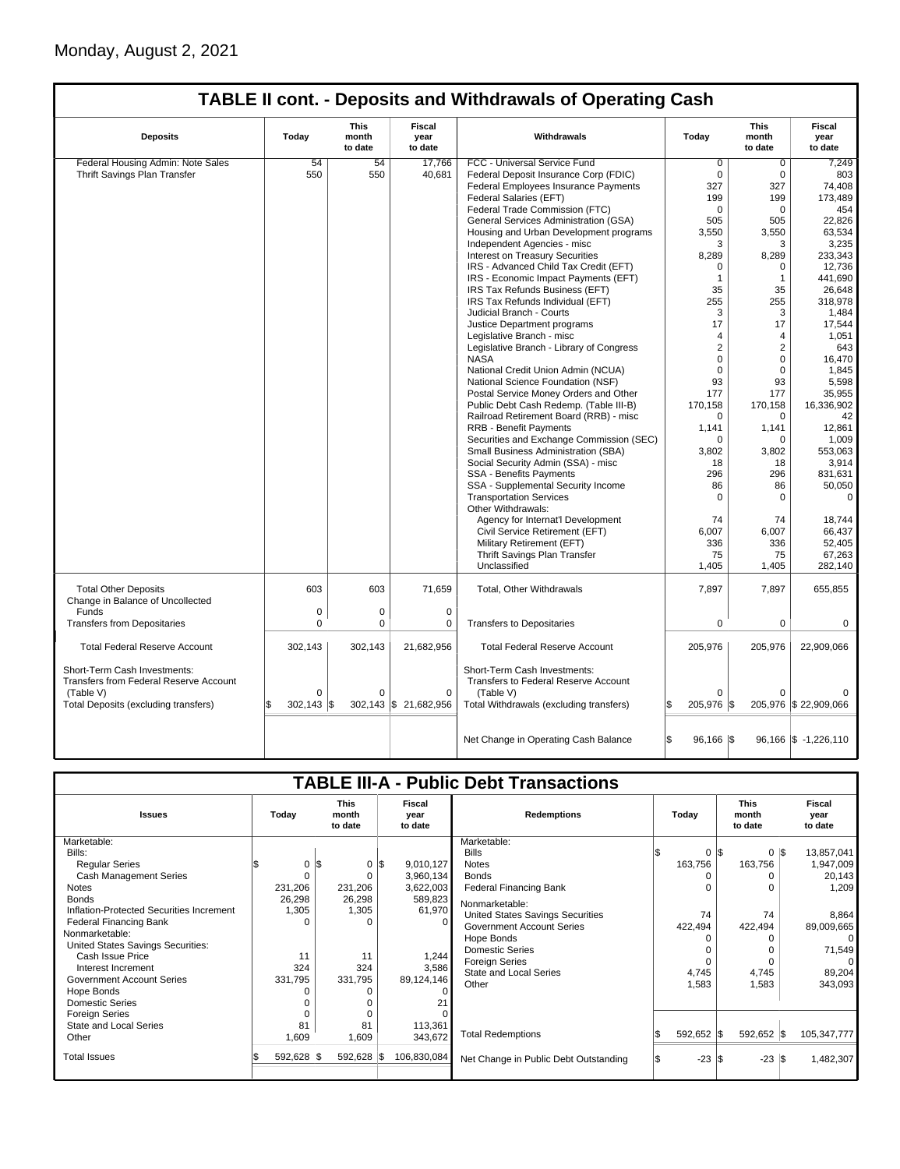## **TABLE II cont. - Deposits and Withdrawals of Operating Cash**

| <b>Deposits</b>                                                 | Today               | This<br>month<br>to date | Fiscal<br>year<br>to date | Withdrawals                                 | Today               | This<br>month<br>to date | <b>Fiscal</b><br>vear<br>to date  |
|-----------------------------------------------------------------|---------------------|--------------------------|---------------------------|---------------------------------------------|---------------------|--------------------------|-----------------------------------|
| Federal Housing Admin: Note Sales                               | 54                  | 54                       | 17.766                    | FCC - Universal Service Fund                | 0                   | 0                        | 7.249                             |
| Thrift Savings Plan Transfer                                    | 550                 | 550                      | 40,681                    | Federal Deposit Insurance Corp (FDIC)       | $\Omega$            | $\mathbf 0$              | 803                               |
|                                                                 |                     |                          |                           | <b>Federal Employees Insurance Payments</b> | 327                 | 327                      | 74,408                            |
|                                                                 |                     |                          |                           | Federal Salaries (EFT)                      | 199                 | 199                      | 173.489                           |
|                                                                 |                     |                          |                           | Federal Trade Commission (FTC)              | $\Omega$            | 0                        | 454                               |
|                                                                 |                     |                          |                           | General Services Administration (GSA)       | 505                 | 505                      | 22,826                            |
|                                                                 |                     |                          |                           | Housing and Urban Development programs      | 3,550               | 3,550                    | 63,534                            |
|                                                                 |                     |                          |                           | Independent Agencies - misc                 | 3                   | 3                        | 3,235                             |
|                                                                 |                     |                          |                           | <b>Interest on Treasury Securities</b>      | 8,289               | 8,289                    | 233,343                           |
|                                                                 |                     |                          |                           | IRS - Advanced Child Tax Credit (EFT)       | $\Omega$            | 0                        | 12,736                            |
|                                                                 |                     |                          |                           | IRS - Economic Impact Payments (EFT)        | $\mathbf{1}$        | $\mathbf{1}$             | 441,690                           |
|                                                                 |                     |                          |                           | IRS Tax Refunds Business (EFT)              | 35                  | 35                       | 26,648                            |
|                                                                 |                     |                          |                           | IRS Tax Refunds Individual (EFT)            | 255                 | 255                      | 318,978                           |
|                                                                 |                     |                          |                           | Judicial Branch - Courts                    | 3                   | 3                        | 1.484                             |
|                                                                 |                     |                          |                           | Justice Department programs                 | 17                  | 17                       | 17,544                            |
|                                                                 |                     |                          |                           | Legislative Branch - misc                   | 4                   | 4                        | 1,051                             |
|                                                                 |                     |                          |                           | Legislative Branch - Library of Congress    | $\overline{2}$      | 2                        | 643                               |
|                                                                 |                     |                          |                           | <b>NASA</b>                                 | $\mathbf 0$         | $\mathbf 0$              | 16,470                            |
|                                                                 |                     |                          |                           | National Credit Union Admin (NCUA)          | $\Omega$            | $\Omega$                 | 1.845                             |
|                                                                 |                     |                          |                           | National Science Foundation (NSF)           | 93                  | 93                       | 5,598                             |
|                                                                 |                     |                          |                           | Postal Service Money Orders and Other       | 177                 | 177                      | 35,955                            |
|                                                                 |                     |                          |                           | Public Debt Cash Redemp. (Table III-B)      | 170,158             | 170,158                  | 16,336,902                        |
|                                                                 |                     |                          |                           | Railroad Retirement Board (RRB) - misc      | $\Omega$            | $\mathbf 0$              | 42                                |
|                                                                 |                     |                          |                           | <b>RRB - Benefit Payments</b>               | 1,141               | 1,141                    | 12,861                            |
|                                                                 |                     |                          |                           | Securities and Exchange Commission (SEC)    | $\Omega$            | 0                        | 1,009                             |
|                                                                 |                     |                          |                           | Small Business Administration (SBA)         | 3,802               | 3,802                    | 553,063                           |
|                                                                 |                     |                          |                           | Social Security Admin (SSA) - misc          | 18                  | 18                       | 3,914                             |
|                                                                 |                     |                          |                           | <b>SSA - Benefits Payments</b>              | 296                 | 296                      | 831,631                           |
|                                                                 |                     |                          |                           | SSA - Supplemental Security Income          | 86                  | 86                       | 50,050                            |
|                                                                 |                     |                          |                           | <b>Transportation Services</b>              | $\Omega$            | 0                        | $\Omega$                          |
|                                                                 |                     |                          |                           | Other Withdrawals:                          |                     |                          |                                   |
|                                                                 |                     |                          |                           | Agency for Internat'l Development           | 74                  | 74                       | 18.744                            |
|                                                                 |                     |                          |                           | Civil Service Retirement (EFT)              | 6,007               | 6,007                    | 66,437                            |
|                                                                 |                     |                          |                           | Military Retirement (EFT)                   | 336                 | 336                      | 52,405                            |
|                                                                 |                     |                          |                           | Thrift Savings Plan Transfer                | 75                  | 75                       | 67,263                            |
|                                                                 |                     |                          |                           | Unclassified                                | 1,405               | 1,405                    | 282,140                           |
|                                                                 |                     |                          |                           |                                             |                     |                          |                                   |
| <b>Total Other Deposits</b><br>Change in Balance of Uncollected | 603                 | 603                      | 71,659                    | Total, Other Withdrawals                    | 7,897               | 7,897                    | 655,855                           |
| <b>Funds</b>                                                    | $\mathbf 0$         | 0                        | 0                         |                                             |                     |                          |                                   |
|                                                                 | $\Omega$            | 0                        | $\mathbf 0$               |                                             | $\mathbf 0$         | $\mathbf 0$              | $\mathbf 0$                       |
| <b>Transfers from Depositaries</b>                              |                     |                          |                           | <b>Transfers to Depositaries</b>            |                     |                          |                                   |
| <b>Total Federal Reserve Account</b>                            | 302,143             | 302,143                  | 21,682,956                | <b>Total Federal Reserve Account</b>        | 205,976             | 205,976                  | 22,909,066                        |
|                                                                 |                     |                          |                           |                                             |                     |                          |                                   |
| Short-Term Cash Investments:                                    |                     |                          |                           | Short-Term Cash Investments:                |                     |                          |                                   |
| <b>Transfers from Federal Reserve Account</b>                   |                     |                          |                           | <b>Transfers to Federal Reserve Account</b> |                     |                          |                                   |
| (Table V)                                                       | $\Omega$            | $\Omega$                 | $\mathbf 0$               | (Table V)                                   | $\Omega$            | 0                        |                                   |
| Total Deposits (excluding transfers)                            | $302,143$ \$<br>l\$ |                          | 302,143 \$ 21,682,956     | Total Withdrawals (excluding transfers)     | \$.<br>205,976 \$   |                          | 205,976 \$22,909,066              |
|                                                                 |                     |                          |                           |                                             |                     |                          |                                   |
|                                                                 |                     |                          |                           |                                             | Ŝ.                  |                          |                                   |
|                                                                 |                     |                          |                           | Net Change in Operating Cash Balance        | $96,166$ $\sqrt{5}$ |                          | $96,166$ $\frac{1}{9}$ -1,226,110 |
|                                                                 |                     |                          |                           |                                             |                     |                          |                                   |

## **TABLE III-A - Public Debt Transactions**

| <b>Issues</b>                            | Today      | <b>This</b><br>month<br>to date | Fiscal<br>year<br>to date |             | <b>Redemptions</b>                      |  |            |    | Today      |             |  |  |  |  |  |  |  |  |  |  |  |  |  |  |  |  |  |  |  |  |  |  |  |  |  |  |  |  |  |  |  |  |  |  |  |  |  |  |  |  |  |  |  |  | <b>This</b><br>month<br>to date | <b>Fiscal</b><br>year<br>to date |
|------------------------------------------|------------|---------------------------------|---------------------------|-------------|-----------------------------------------|--|------------|----|------------|-------------|--|--|--|--|--|--|--|--|--|--|--|--|--|--|--|--|--|--|--|--|--|--|--|--|--|--|--|--|--|--|--|--|--|--|--|--|--|--|--|--|--|--|--|--|---------------------------------|----------------------------------|
| Marketable:                              |            |                                 |                           |             | Marketable:                             |  |            |    |            |             |  |  |  |  |  |  |  |  |  |  |  |  |  |  |  |  |  |  |  |  |  |  |  |  |  |  |  |  |  |  |  |  |  |  |  |  |  |  |  |  |  |  |  |  |                                 |                                  |
| Bills:                                   |            |                                 |                           |             | <b>Bills</b>                            |  | $\Omega$   | \$ | $\Omega$   | 13,857,041  |  |  |  |  |  |  |  |  |  |  |  |  |  |  |  |  |  |  |  |  |  |  |  |  |  |  |  |  |  |  |  |  |  |  |  |  |  |  |  |  |  |  |  |  |                                 |                                  |
| <b>Regular Series</b>                    | $\Omega$   | \$<br>$0$ $\sqrt{5}$            |                           | 9,010,127   | <b>Notes</b>                            |  | 163,756    |    | 163,756    | 1,947,009   |  |  |  |  |  |  |  |  |  |  |  |  |  |  |  |  |  |  |  |  |  |  |  |  |  |  |  |  |  |  |  |  |  |  |  |  |  |  |  |  |  |  |  |  |                                 |                                  |
| Cash Management Series                   |            | O                               |                           | 3,960,134   | <b>Bonds</b>                            |  |            |    |            | 20,143      |  |  |  |  |  |  |  |  |  |  |  |  |  |  |  |  |  |  |  |  |  |  |  |  |  |  |  |  |  |  |  |  |  |  |  |  |  |  |  |  |  |  |  |  |                                 |                                  |
| Notes                                    | 231,206    | 231,206                         |                           | 3,622,003   | <b>Federal Financing Bank</b>           |  |            |    | ŋ          | 1,209       |  |  |  |  |  |  |  |  |  |  |  |  |  |  |  |  |  |  |  |  |  |  |  |  |  |  |  |  |  |  |  |  |  |  |  |  |  |  |  |  |  |  |  |  |                                 |                                  |
| <b>Bonds</b>                             | 26,298     | 26,298                          |                           | 589,823     | Nonmarketable:                          |  |            |    |            |             |  |  |  |  |  |  |  |  |  |  |  |  |  |  |  |  |  |  |  |  |  |  |  |  |  |  |  |  |  |  |  |  |  |  |  |  |  |  |  |  |  |  |  |  |                                 |                                  |
| Inflation-Protected Securities Increment | 1,305      | 1,305                           |                           | 61,970      | <b>United States Savings Securities</b> |  | 74         |    | 74         | 8,864       |  |  |  |  |  |  |  |  |  |  |  |  |  |  |  |  |  |  |  |  |  |  |  |  |  |  |  |  |  |  |  |  |  |  |  |  |  |  |  |  |  |  |  |  |                                 |                                  |
| Federal Financing Bank                   |            |                                 |                           |             | <b>Government Account Series</b>        |  | 422,494    |    | 422,494    | 89,009,665  |  |  |  |  |  |  |  |  |  |  |  |  |  |  |  |  |  |  |  |  |  |  |  |  |  |  |  |  |  |  |  |  |  |  |  |  |  |  |  |  |  |  |  |  |                                 |                                  |
| Nonmarketable:                           |            |                                 |                           |             | Hope Bonds                              |  |            |    |            | $\Omega$    |  |  |  |  |  |  |  |  |  |  |  |  |  |  |  |  |  |  |  |  |  |  |  |  |  |  |  |  |  |  |  |  |  |  |  |  |  |  |  |  |  |  |  |  |                                 |                                  |
| United States Savings Securities:        |            |                                 |                           |             | <b>Domestic Series</b>                  |  |            |    |            | 71,549      |  |  |  |  |  |  |  |  |  |  |  |  |  |  |  |  |  |  |  |  |  |  |  |  |  |  |  |  |  |  |  |  |  |  |  |  |  |  |  |  |  |  |  |  |                                 |                                  |
| Cash Issue Price                         | 11         | 11                              |                           | 1,244       | <b>Foreign Series</b>                   |  |            |    |            | $\Omega$    |  |  |  |  |  |  |  |  |  |  |  |  |  |  |  |  |  |  |  |  |  |  |  |  |  |  |  |  |  |  |  |  |  |  |  |  |  |  |  |  |  |  |  |  |                                 |                                  |
| Interest Increment                       | 324        | 324                             |                           | 3,586       | <b>State and Local Series</b>           |  | 4,745      |    | 4,745      | 89,204      |  |  |  |  |  |  |  |  |  |  |  |  |  |  |  |  |  |  |  |  |  |  |  |  |  |  |  |  |  |  |  |  |  |  |  |  |  |  |  |  |  |  |  |  |                                 |                                  |
| Government Account Series                | 331,795    | 331,795                         |                           | 89,124,146  | Other                                   |  | 1,583      |    | 1,583      | 343,093     |  |  |  |  |  |  |  |  |  |  |  |  |  |  |  |  |  |  |  |  |  |  |  |  |  |  |  |  |  |  |  |  |  |  |  |  |  |  |  |  |  |  |  |  |                                 |                                  |
| Hope Bonds                               |            |                                 |                           |             |                                         |  |            |    |            |             |  |  |  |  |  |  |  |  |  |  |  |  |  |  |  |  |  |  |  |  |  |  |  |  |  |  |  |  |  |  |  |  |  |  |  |  |  |  |  |  |  |  |  |  |                                 |                                  |
| <b>Domestic Series</b>                   |            |                                 |                           |             |                                         |  |            |    |            |             |  |  |  |  |  |  |  |  |  |  |  |  |  |  |  |  |  |  |  |  |  |  |  |  |  |  |  |  |  |  |  |  |  |  |  |  |  |  |  |  |  |  |  |  |                                 |                                  |
| <b>Foreign Series</b>                    |            |                                 |                           |             |                                         |  |            |    |            |             |  |  |  |  |  |  |  |  |  |  |  |  |  |  |  |  |  |  |  |  |  |  |  |  |  |  |  |  |  |  |  |  |  |  |  |  |  |  |  |  |  |  |  |  |                                 |                                  |
| State and Local Series                   | 81         | 81                              |                           | 113,361     |                                         |  |            |    |            |             |  |  |  |  |  |  |  |  |  |  |  |  |  |  |  |  |  |  |  |  |  |  |  |  |  |  |  |  |  |  |  |  |  |  |  |  |  |  |  |  |  |  |  |  |                                 |                                  |
| Other                                    | 1,609      | 1,609                           |                           | 343,672     | <b>Total Redemptions</b>                |  | 592,652 \$ |    | 592,652 \$ | 105,347,777 |  |  |  |  |  |  |  |  |  |  |  |  |  |  |  |  |  |  |  |  |  |  |  |  |  |  |  |  |  |  |  |  |  |  |  |  |  |  |  |  |  |  |  |  |                                 |                                  |
| <b>Total Issues</b>                      | 592,628 \$ | 592,628 \$                      |                           | 106,830,084 | Net Change in Public Debt Outstanding   |  | $-23 S$    |    | $-23$ \$   | 1,482,307   |  |  |  |  |  |  |  |  |  |  |  |  |  |  |  |  |  |  |  |  |  |  |  |  |  |  |  |  |  |  |  |  |  |  |  |  |  |  |  |  |  |  |  |  |                                 |                                  |
|                                          |            |                                 |                           |             |                                         |  |            |    |            |             |  |  |  |  |  |  |  |  |  |  |  |  |  |  |  |  |  |  |  |  |  |  |  |  |  |  |  |  |  |  |  |  |  |  |  |  |  |  |  |  |  |  |  |  |                                 |                                  |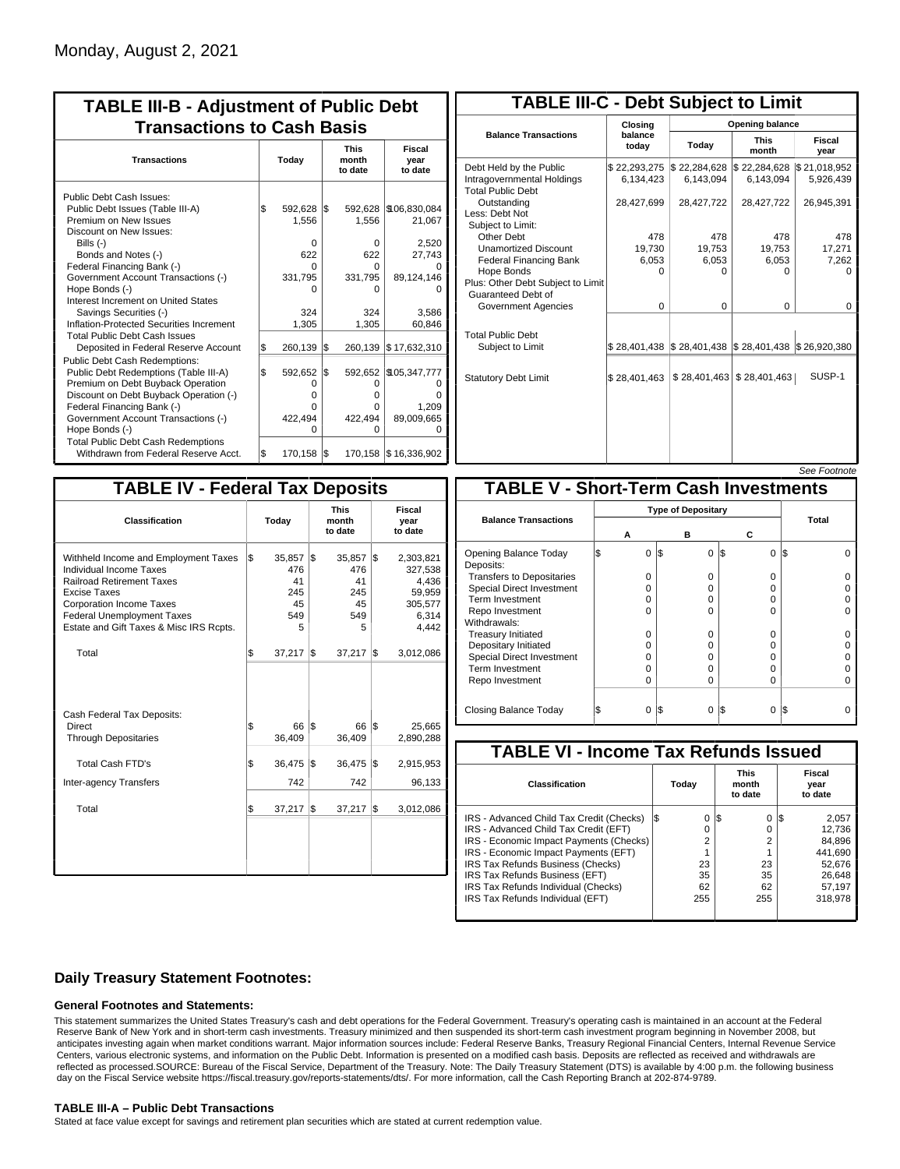| <b>TABLE III-B - Adjustment of Public Debt</b><br><b>Transactions to Cash Basis</b>                                                                                                                                |           |                                   |            |                                     |                                               |  |  |  |  |  |  |  |
|--------------------------------------------------------------------------------------------------------------------------------------------------------------------------------------------------------------------|-----------|-----------------------------------|------------|-------------------------------------|-----------------------------------------------|--|--|--|--|--|--|--|
| <b>Transactions</b>                                                                                                                                                                                                | Today     |                                   |            | <b>This</b><br>month<br>to date     | Fiscal<br>year<br>to date                     |  |  |  |  |  |  |  |
| Public Debt Cash Issues:<br>Public Debt Issues (Table III-A)<br>Premium on New Issues<br>Discount on New Issues:<br>Bills $(-)$<br>Bonds and Notes (-)                                                             | Ι\$       | 592,628 \$<br>1,556<br>0<br>622   |            | 592,628<br>1,556<br>$\Omega$<br>622 | \$106,830,084<br>21,067<br>2,520<br>27,743    |  |  |  |  |  |  |  |
| Federal Financing Bank (-)<br>Government Account Transactions (-)<br>Hope Bonds (-)<br>Interest Increment on United States<br>Savings Securities (-)<br>Inflation-Protected Securities Increment                   |           | U<br>331,795<br>324<br>1,305      |            | O<br>331,795<br>O<br>324<br>1,305   | 89,124,146<br>3.586<br>60,846                 |  |  |  |  |  |  |  |
| <b>Total Public Debt Cash Issues</b><br>Deposited in Federal Reserve Account<br>Public Debt Cash Redemptions:<br>Public Debt Redemptions (Table III-A)<br>Premium on Debt Buyback Operation                        | \$<br>l\$ | 260,139<br>592,652<br>0           | l\$<br>l\$ | 260,139<br>592,652<br>0             | \$17,632,310<br>\$105,347,777                 |  |  |  |  |  |  |  |
| Discount on Debt Buyback Operation (-)<br>Federal Financing Bank (-)<br>Government Account Transactions (-)<br>Hope Bonds (-)<br><b>Total Public Debt Cash Redemptions</b><br>Withdrawn from Federal Reserve Acct. | l\$       | o<br>U<br>422,494<br>ი<br>170,158 | 1\$        | 0<br>0<br>422.494<br>0              | 1.209<br>89,009,665<br>170,158   \$16,336,902 |  |  |  |  |  |  |  |

| <b>TABLE III-C - Debt Subject to Limit</b>                                        |                           |                                                           |                           |                           |  |  |  |  |  |  |  |
|-----------------------------------------------------------------------------------|---------------------------|-----------------------------------------------------------|---------------------------|---------------------------|--|--|--|--|--|--|--|
|                                                                                   | Closing                   | Opening balance                                           |                           |                           |  |  |  |  |  |  |  |
| <b>Balance Transactions</b>                                                       | balance<br>today          | Today                                                     | <b>This</b><br>month      | Fiscal<br>year            |  |  |  |  |  |  |  |
| Debt Held by the Public<br>Intragovernmental Holdings<br><b>Total Public Debt</b> | \$22,293,275<br>6.134.423 | \$22,284,628<br>6.143.094                                 | \$22,284,628<br>6.143.094 | \$21,018,952<br>5,926,439 |  |  |  |  |  |  |  |
| Outstanding<br>Less: Debt Not<br>Subject to Limit:                                | 28,427,699                | 28,427,722                                                | 28,427,722                | 26,945,391                |  |  |  |  |  |  |  |
| Other Debt                                                                        | 478                       | 478                                                       | 478                       | 478                       |  |  |  |  |  |  |  |
| <b>Unamortized Discount</b>                                                       | 19,730                    | 19,753                                                    | 19,753                    | 17,271                    |  |  |  |  |  |  |  |
| <b>Federal Financing Bank</b>                                                     | 6,053                     | 6,053                                                     | 6,053                     | 7,262                     |  |  |  |  |  |  |  |
| Hope Bonds                                                                        | 0                         | O                                                         | 0                         | 0                         |  |  |  |  |  |  |  |
| Plus: Other Debt Subject to Limit<br>Guaranteed Debt of                           |                           |                                                           |                           |                           |  |  |  |  |  |  |  |
| Government Agencies                                                               | 0                         | 0                                                         | 0                         | 0                         |  |  |  |  |  |  |  |
| <b>Total Public Debt</b><br>Subject to Limit                                      |                           | \$28,401,438   \$28,401,438   \$28,401,438   \$26,920,380 |                           |                           |  |  |  |  |  |  |  |
| <b>Statutory Debt Limit</b>                                                       | \$28,401,463              | \$28,401,463                                              | \$28,401,463              | SUSP-1                    |  |  |  |  |  |  |  |
|                                                                                   |                           |                                                           |                           | See Footpote              |  |  |  |  |  |  |  |

| <b>TABLE IV - Federal Tax Deposits</b>                                                                                                                                                                                                 |     |                                              |     |                                              |     |                                                                      |  |  |  |  |  |
|----------------------------------------------------------------------------------------------------------------------------------------------------------------------------------------------------------------------------------------|-----|----------------------------------------------|-----|----------------------------------------------|-----|----------------------------------------------------------------------|--|--|--|--|--|
| Classification                                                                                                                                                                                                                         |     | Today                                        |     | <b>This</b><br>month<br>to date              |     | Fiscal<br>year<br>to date                                            |  |  |  |  |  |
| Withheld Income and Employment Taxes<br>Individual Income Taxes<br><b>Railroad Retirement Taxes</b><br><b>Excise Taxes</b><br><b>Corporation Income Taxes</b><br>Federal Unemployment Taxes<br>Estate and Gift Taxes & Misc IRS Rcpts. | l\$ | 35,857<br>476<br>41<br>245<br>45<br>549<br>5 | l\$ | 35,857<br>476<br>41<br>245<br>45<br>549<br>5 | l\$ | 2,303,821<br>327,538<br>4,436<br>59,959<br>305,577<br>6,314<br>4,442 |  |  |  |  |  |
| Total                                                                                                                                                                                                                                  | \$  | 37,217                                       | 1\$ | 37,217                                       | l\$ | 3,012,086                                                            |  |  |  |  |  |
| Cash Federal Tax Deposits:<br>Direct<br><b>Through Depositaries</b>                                                                                                                                                                    | \$  | 66 S<br>36,409                               |     | 66<br>36,409                                 | 1\$ | 25,665<br>2,890,288                                                  |  |  |  |  |  |
| <b>Total Cash FTD's</b>                                                                                                                                                                                                                | Ŝ.  | 36,475                                       | l\$ | 36,475                                       | l\$ | 2,915,953                                                            |  |  |  |  |  |
| Inter-agency Transfers                                                                                                                                                                                                                 |     | 742                                          |     | 742                                          |     | 96,133                                                               |  |  |  |  |  |
| Total                                                                                                                                                                                                                                  | l\$ | 37,217                                       | 1\$ | 37,217                                       | l\$ | 3,012,086                                                            |  |  |  |  |  |
|                                                                                                                                                                                                                                        |     |                                              |     |                                              |     |                                                                      |  |  |  |  |  |

|                                              |  |                           |     |          |          |     | סט <i>ו</i> ווטט ו ססט |  |  |  |  |  |
|----------------------------------------------|--|---------------------------|-----|----------|----------|-----|------------------------|--|--|--|--|--|
| <b>TABLE V - Short-Term Cash Investments</b> |  |                           |     |          |          |     |                        |  |  |  |  |  |
|                                              |  | <b>Type of Depositary</b> |     |          |          |     |                        |  |  |  |  |  |
| <b>Balance Transactions</b>                  |  | А                         | в   |          | С        |     | Total                  |  |  |  |  |  |
| Opening Balance Today<br>Deposits:           |  | 0                         | 1\$ | $\Omega$ | \$<br>0  | IS. |                        |  |  |  |  |  |
| <b>Transfers to Depositaries</b>             |  | O                         |     | $\Omega$ | $\Omega$ |     |                        |  |  |  |  |  |
| <b>Special Direct Investment</b>             |  | O                         |     | 0        | 0        |     |                        |  |  |  |  |  |
| <b>Term Investment</b>                       |  | O                         |     | 0        | 0        |     |                        |  |  |  |  |  |
| Repo Investment                              |  | O                         |     | $\Omega$ | 0        |     |                        |  |  |  |  |  |
| Withdrawals:                                 |  |                           |     |          |          |     |                        |  |  |  |  |  |
| <b>Treasury Initiated</b>                    |  | O                         |     | 0        | $\Omega$ |     |                        |  |  |  |  |  |
| Depositary Initiated                         |  | O                         |     | 0        | 0        |     |                        |  |  |  |  |  |
| <b>Special Direct Investment</b>             |  | Ω                         |     | 0        | 0        |     |                        |  |  |  |  |  |
| <b>Term Investment</b>                       |  | O                         |     | 0        | 0        |     |                        |  |  |  |  |  |
| Repo Investment                              |  | 0                         |     | $\Omega$ | 0        |     |                        |  |  |  |  |  |
| Closing Balance Today                        |  | 0                         | I\$ | $\Omega$ | S<br>0   | IS  |                        |  |  |  |  |  |

| <b>TABLE VI - Income Tax Refunds Issued</b> |    |       |    |                                 |     |                           |  |  |  |  |  |  |
|---------------------------------------------|----|-------|----|---------------------------------|-----|---------------------------|--|--|--|--|--|--|
| Classification                              |    | Today |    | <b>This</b><br>month<br>to date |     | Fiscal<br>year<br>to date |  |  |  |  |  |  |
| IRS - Advanced Child Tax Credit (Checks)    | 13 | 0     | 13 | 0                               | 125 | 2,057                     |  |  |  |  |  |  |
| IRS - Advanced Child Tax Credit (EFT)       |    | 0     |    | 0                               |     | 12.736                    |  |  |  |  |  |  |
| IRS - Economic Impact Payments (Checks)     |    | 2     |    | $\overline{2}$                  |     | 84.896                    |  |  |  |  |  |  |
| IRS - Economic Impact Payments (EFT)        |    |       |    |                                 |     | 441,690                   |  |  |  |  |  |  |
| IRS Tax Refunds Business (Checks)           |    | 23    |    | 23                              |     | 52.676                    |  |  |  |  |  |  |
| IRS Tax Refunds Business (EFT)              |    | 35    |    | 35                              |     | 26.648                    |  |  |  |  |  |  |
| IRS Tax Refunds Individual (Checks)         |    | 62    |    | 62                              |     | 57,197                    |  |  |  |  |  |  |
| IRS Tax Refunds Individual (EFT)            |    | 255   |    | 255                             |     | 318,978                   |  |  |  |  |  |  |

### **Daily Treasury Statement Footnotes:**

### **General Footnotes and Statements:**

This statement summarizes the United States Treasury's cash and debt operations for the Federal Government. Treasury's operating cash is maintained in an account at the Federal Reserve Bank of New York and in short-term cash investments. Treasury minimized and then suspended its short-term cash investment program beginning in November 2008, but anticipates investing again when market conditions warrant. Major information sources include: Federal Reserve Banks, Treasury Regional Financial Centers, Internal Revenue Service Centers, various electronic systems, and information on the Public Debt. Information is presented on a modified cash basis. Deposits are reflected as received and withdrawals are reflected as processed.SOURCE: Bureau of the Fiscal Service, Department of the Treasury. Note: The Daily Treasury Statement (DTS) is available by 4:00 p.m. the following business day on the Fiscal Service website https://fiscal.treasury.gov/reports-statements/dts/. For more information, call the Cash Reporting Branch at 202-874-9789.

### **TABLE III-A – Public Debt Transactions**

Stated at face value except for savings and retirement plan securities which are stated at current redemption value.